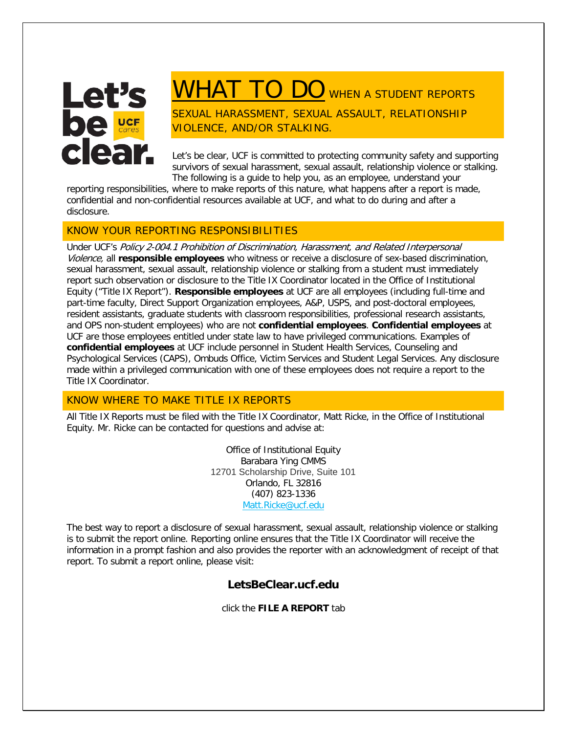

# WHAT TO DO WHEN A STUDENT REPORTS

SEXUAL HARASSMENT, SEXUAL ASSAULT, RELATIONSHIP VIOLENCE, AND/OR STALKING.

Let's be clear, UCF is committed to protecting community safety and supporting survivors of sexual harassment, sexual assault, relationship violence or stalking. The following is a guide to help you, as an employee, understand your

reporting responsibilities, where to make reports of this nature, what happens after a report is made, confidential and non-confidential resources available at UCF, and what to do during and after a disclosure.

# KNOW YOUR REPORTING RESPONSIBILITIES

Under UCF's Policy 2-004.1 Prohibition of Discrimination, Harassment, and Related Interpersonal Violence, all **responsible employees** who witness or receive a disclosure of sex-based discrimination, sexual harassment, sexual assault, relationship violence or stalking from a student must immediately report such observation or disclosure to the Title IX Coordinator located in the Office of Institutional Equity ("Title IX Report"). **Responsible employees** at UCF are all employees (including full-time and part-time faculty, Direct Support Organization employees, A&P, USPS, and post-doctoral employees, resident assistants, graduate students with classroom responsibilities, professional research assistants, and OPS non-student employees) who are not **confidential employees**. **Confidential employees** at UCF are those employees entitled under state law to have privileged communications. Examples of **confidential employees** at UCF include personnel in Student Health Services, Counseling and Psychological Services (CAPS), Ombuds Office, Victim Services and Student Legal Services. Any disclosure made within a privileged communication with one of these employees does not require a report to the Title IX Coordinator.

# KNOW WHERE TO MAKE TITLE IX REPORTS

All Title IX Reports must be filed with the Title IX Coordinator, Matt Ricke, in the Office of Institutional Equity. Mr. Ricke can be contacted for questions and advise at:

> Office of Institutional Equity Barabara Ying CMMS 12701 Scholarship Drive, Suite 101 Orlando, FL 32816 (407) 823-1336 [Matt.Ricke@ucf.edu](mailto:oie@ucf.edu)

The best way to report a disclosure of sexual harassment, sexual assault, relationship violence or stalking is to submit the report online. Reporting online ensures that the Title IX Coordinator will receive the information in a prompt fashion and also provides the reporter with an acknowledgment of receipt of that report. To submit a report online, please visit:

# **LetsBeClear.ucf.edu**

click the **FILE A REPORT** tab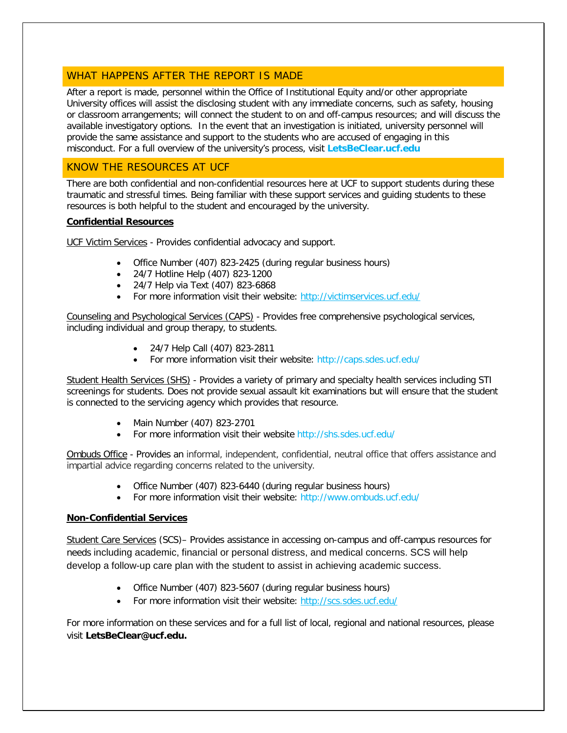## WHAT HAPPENS AFTER THE REPORT IS MADE

After a report is made, personnel within the Office of Institutional Equity and/or other appropriate University offices will assist the disclosing student with any immediate concerns, such as safety, housing or classroom arrangements; will connect the student to on and off-campus resources; and will discuss the available investigatory options. In the event that an investigation is initiated, university personnel will provide the same assistance and support to the students who are accused of engaging in this misconduct. For a full overview of the university's process, visit **LetsBeClear.ucf.edu**

# KNOW THE RESOURCES AT UCF

There are both confidential and non-confidential resources here at UCF to support students during these traumatic and stressful times. Being familiar with these support services and guiding students to these resources is both helpful to the student and encouraged by the university.

## **Confidential Resources**

UCF Victim Services - Provides confidential advocacy and support.

- Office Number (407) 823-2425 (during regular business hours)
- 24/7 Hotline Help (407) 823-1200
- 24/7 Help via Text (407) 823-6868
- For more information visit their website: <http://victimservices.ucf.edu/>

Counseling and Psychological Services (CAPS) - Provides free comprehensive psychological services, including individual and group therapy, to students.

- 24/7 Help Call (407) 823-2811
- For more information visit their website: http://caps.sdes.ucf.edu/

Student Health Services (SHS) - Provides a variety of primary and specialty health services including STI screenings for students. Does not provide sexual assault kit examinations but will ensure that the student is connected to the servicing agency which provides that resource.

- Main Number (407) 823-2701
- For more information visit their website http://shs.sdes.ucf.edu/

Ombuds Office - Provides an informal, independent, confidential, neutral office that offers assistance and impartial advice regarding concerns related to the university.

- Office Number (407) 823-6440 (during regular business hours)
- For more information visit their website: http://www.ombuds.ucf.edu/

### **Non-Confidential Services**

Student Care Services (SCS)– Provides assistance in accessing on-campus and off-campus resources for needs including academic, financial or personal distress, and medical concerns. SCS will help develop a follow-up care plan with the student to assist in achieving academic success.

- Office Number (407) 823-5607 (during regular business hours)
- For more information visit their website:<http://scs.sdes.ucf.edu/>

For more information on these services and for a full list of local, regional and national resources, please visit **LetsBeClear@ucf.edu.**